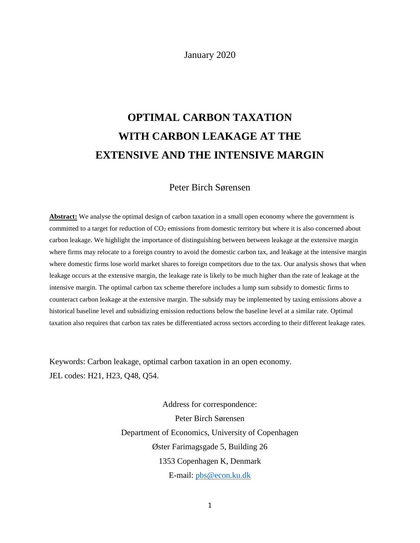January 2020

# **OPTIMAL CARBON TAXATION WITH CARBON LEAKAGE AT THE EXTENSIVE AND THE INTENSIVE MARGIN**

# Peter Birch Sørensen

**Abstract:** We analyse the optimal design of carbon taxation in a small open economy where the government is committed to a target for reduction of  $CO<sub>2</sub>$  emissions from domestic territory but where it is also concerned about carbon leakage. We highlight the importance of distinguishing between between leakage at the extensive margin where firms may relocate to a foreign country to avoid the domestic carbon tax, and leakage at the intensive margin where domestic firms lose world market shares to foreign competitors due to the tax. Our analysis shows that when leakage occurs at the extensive margin, the leakage rate is likely to be much higher than the rate of leakage at the intensive margin. The optimal carbon tax scheme therefore includes a lump sum subsidy to domestic firms to counteract carbon leakage at the extensive margin. The subsidy may be implemented by taxing emissions above a historical baseline level and subsidizing emission reductions below the baseline level at a similar rate. Optimal taxation also requires that carbon tax rates be differentiated across sectors according to their different leakage rates.

Keywords: Carbon leakage, optimal carbon taxation in an open economy. JEL codes: H21, H23, Q48, Q54.

> Address for correspondence: Peter Birch Sørensen Department of Economics, University of Copenhagen Øster Farimagsgade 5, Building 26 1353 Copenhagen K, Denmark E-mail: pbs@econ.ku.dk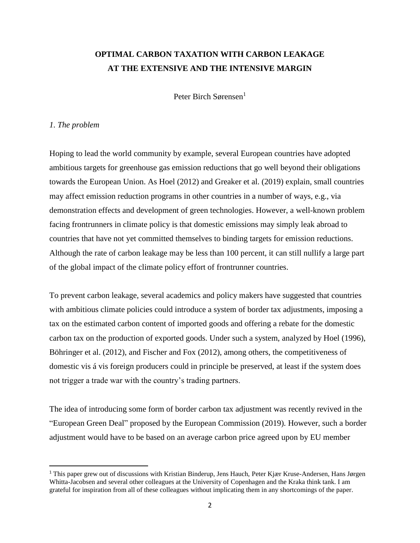# **OPTIMAL CARBON TAXATION WITH CARBON LEAKAGE AT THE EXTENSIVE AND THE INTENSIVE MARGIN**

Peter Birch Sørensen<sup>1</sup>

## *1. The problem*

 $\overline{\phantom{a}}$ 

Hoping to lead the world community by example, several European countries have adopted ambitious targets for greenhouse gas emission reductions that go well beyond their obligations towards the European Union. As Hoel (2012) and Greaker et al. (2019) explain, small countries may affect emission reduction programs in other countries in a number of ways, e.g., via demonstration effects and development of green technologies. However, a well-known problem facing frontrunners in climate policy is that domestic emissions may simply leak abroad to countries that have not yet committed themselves to binding targets for emission reductions. Although the rate of carbon leakage may be less than 100 percent, it can still nullify a large part of the global impact of the climate policy effort of frontrunner countries.

To prevent carbon leakage, several academics and policy makers have suggested that countries with ambitious climate policies could introduce a system of border tax adjustments, imposing a tax on the estimated carbon content of imported goods and offering a rebate for the domestic carbon tax on the production of exported goods. Under such a system, analyzed by Hoel (1996), Böhringer et al. (2012), and Fischer and Fox (2012), among others, the competitiveness of domestic vis á vis foreign producers could in principle be preserved, at least if the system does not trigger a trade war with the country's trading partners.

The idea of introducing some form of border carbon tax adjustment was recently revived in the "European Green Deal" proposed by the European Commission (2019). However, such a border adjustment would have to be based on an average carbon price agreed upon by EU member

<sup>1</sup> This paper grew out of discussions with Kristian Binderup, Jens Hauch, Peter Kjær Kruse-Andersen, Hans Jørgen Whitta-Jacobsen and several other colleagues at the University of Copenhagen and the Kraka think tank. I am grateful for inspiration from all of these colleagues without implicating them in any shortcomings of the paper.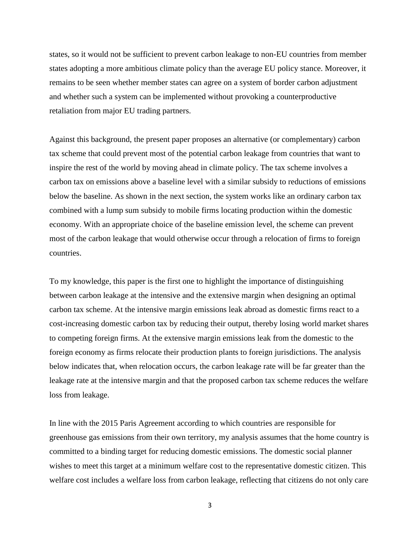states, so it would not be sufficient to prevent carbon leakage to non-EU countries from member states adopting a more ambitious climate policy than the average EU policy stance. Moreover, it remains to be seen whether member states can agree on a system of border carbon adjustment and whether such a system can be implemented without provoking a counterproductive retaliation from major EU trading partners.

Against this background, the present paper proposes an alternative (or complementary) carbon tax scheme that could prevent most of the potential carbon leakage from countries that want to inspire the rest of the world by moving ahead in climate policy. The tax scheme involves a carbon tax on emissions above a baseline level with a similar subsidy to reductions of emissions below the baseline. As shown in the next section, the system works like an ordinary carbon tax combined with a lump sum subsidy to mobile firms locating production within the domestic economy. With an appropriate choice of the baseline emission level, the scheme can prevent most of the carbon leakage that would otherwise occur through a relocation of firms to foreign countries.

To my knowledge, this paper is the first one to highlight the importance of distinguishing between carbon leakage at the intensive and the extensive margin when designing an optimal carbon tax scheme. At the intensive margin emissions leak abroad as domestic firms react to a cost-increasing domestic carbon tax by reducing their output, thereby losing world market shares to competing foreign firms. At the extensive margin emissions leak from the domestic to the foreign economy as firms relocate their production plants to foreign jurisdictions. The analysis below indicates that, when relocation occurs, the carbon leakage rate will be far greater than the leakage rate at the intensive margin and that the proposed carbon tax scheme reduces the welfare loss from leakage.

In line with the 2015 Paris Agreement according to which countries are responsible for greenhouse gas emissions from their own territory, my analysis assumes that the home country is committed to a binding target for reducing domestic emissions. The domestic social planner wishes to meet this target at a minimum welfare cost to the representative domestic citizen. This welfare cost includes a welfare loss from carbon leakage, reflecting that citizens do not only care

3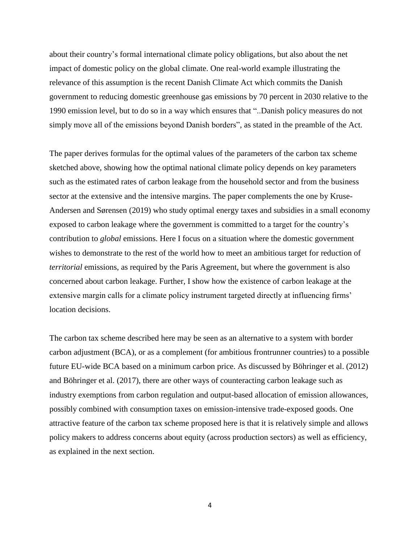about their country's formal international climate policy obligations, but also about the net impact of domestic policy on the global climate. One real-world example illustrating the relevance of this assumption is the recent Danish Climate Act which commits the Danish government to reducing domestic greenhouse gas emissions by 70 percent in 2030 relative to the 1990 emission level, but to do so in a way which ensures that "..Danish policy measures do not simply move all of the emissions beyond Danish borders", as stated in the preamble of the Act.

The paper derives formulas for the optimal values of the parameters of the carbon tax scheme sketched above, showing how the optimal national climate policy depends on key parameters such as the estimated rates of carbon leakage from the household sector and from the business sector at the extensive and the intensive margins. The paper complements the one by Kruse-Andersen and Sørensen (2019) who study optimal energy taxes and subsidies in a small economy exposed to carbon leakage where the government is committed to a target for the country's contribution to *global* emissions. Here I focus on a situation where the domestic government wishes to demonstrate to the rest of the world how to meet an ambitious target for reduction of *territorial* emissions, as required by the Paris Agreement, but where the government is also concerned about carbon leakage. Further, I show how the existence of carbon leakage at the extensive margin calls for a climate policy instrument targeted directly at influencing firms' location decisions.

The carbon tax scheme described here may be seen as an alternative to a system with border carbon adjustment (BCA), or as a complement (for ambitious frontrunner countries) to a possible future EU-wide BCA based on a minimum carbon price. As discussed by Böhringer et al. (2012) and Böhringer et al. (2017), there are other ways of counteracting carbon leakage such as industry exemptions from carbon regulation and output-based allocation of emission allowances, possibly combined with consumption taxes on emission-intensive trade-exposed goods. One attractive feature of the carbon tax scheme proposed here is that it is relatively simple and allows policy makers to address concerns about equity (across production sectors) as well as efficiency, as explained in the next section.

4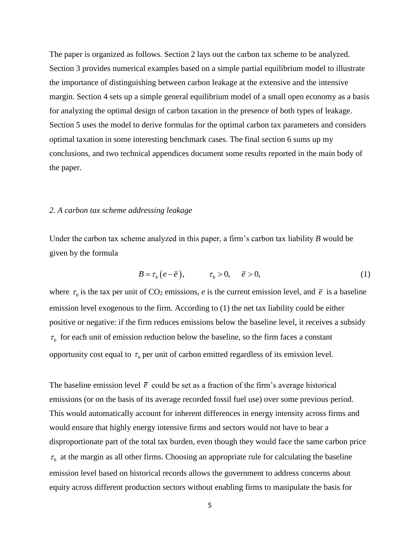The paper is organized as follows. Section 2 lays out the carbon tax scheme to be analyzed. Section 3 provides numerical examples based on a simple partial equilibrium model to illustrate the importance of distinguishing between carbon leakage at the extensive and the intensive margin. Section 4 sets up a simple general equilibrium model of a small open economy as a basis for analyzing the optimal design of carbon taxation in the presence of both types of leakage. Section 5 uses the model to derive formulas for the optimal carbon tax parameters and considers optimal taxation in some interesting benchmark cases. The final section 6 sums up my conclusions, and two technical appendices document some results reported in the main body of the paper.

#### *2. A carbon tax scheme addressing leakage*

Under the carbon tax scheme analyzed in this paper, a firm's carbon tax liability *B* would be given by the formula

$$
B = \tau_b \left( e - \overline{e} \right), \qquad \tau_b > 0, \quad \overline{e} > 0,
$$
 (1)

where  $\tau_b$  is the tax per unit of CO<sub>2</sub> emissions, *e* is the current emission level, and  $\bar{e}$  is a baseline emission level exogenous to the firm. According to (1) the net tax liability could be either positive or negative: if the firm reduces emissions below the baseline level, it receives a subsidy  $\tau_b$  for each unit of emission reduction below the baseline, so the firm faces a constant opportunity cost equal to  $\tau$ <sub>b</sub> per unit of carbon emitted regardless of its emission level.

The baseline emission level  $\bar{e}$  could be set as a fraction of the firm's average historical emissions (or on the basis of its average recorded fossil fuel use) over some previous period. This would automatically account for inherent differences in energy intensity across firms and would ensure that highly energy intensive firms and sectors would not have to bear a disproportionate part of the total tax burden, even though they would face the same carbon price  $\tau_b$  at the margin as all other firms. Choosing an appropriate rule for calculating the baseline emission level based on historical records allows the government to address concerns about equity across different production sectors without enabling firms to manipulate the basis for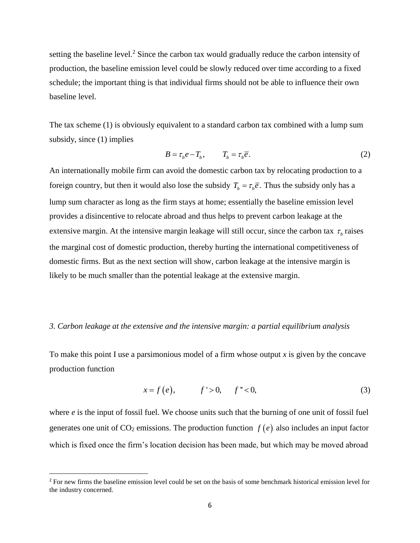setting the baseline level.<sup>2</sup> Since the carbon tax would gradually reduce the carbon intensity of production, the baseline emission level could be slowly reduced over time according to a fixed schedule; the important thing is that individual firms should not be able to influence their own baseline level.

The tax scheme (1) is obviously equivalent to a standard carbon tax combined with a lump sum subsidy, since (1) implies

$$
B = \tau_b e - T_b, \qquad T_b = \tau_b \overline{e}.
$$
 (2)

An internationally mobile firm can avoid the domestic carbon tax by relocating production to a foreign country, but then it would also lose the subsidy  $T_b = \tau_b \overline{e}$ . Thus the subsidy only has a lump sum character as long as the firm stays at home; essentially the baseline emission level provides a disincentive to relocate abroad and thus helps to prevent carbon leakage at the extensive margin. At the intensive margin leakage will still occur, since the carbon tax  $\tau<sub>b</sub>$  raises the marginal cost of domestic production, thereby hurting the international competitiveness of domestic firms. But as the next section will show, carbon leakage at the intensive margin is likely to be much smaller than the potential leakage at the extensive margin.

### *3. Carbon leakage at the extensive and the intensive margin: a partial equilibrium analysis*

To make this point I use a parsimonious model of a firm whose output *x* is given by the concave production function

$$
x = f(e),
$$
  $f' > 0,$   $f'' < 0,$  (3)

where *e* is the input of fossil fuel. We choose units such that the burning of one unit of fossil fuel generates one unit of  $CO_2$  emissions. The production function  $f(e)$  also includes an input factor which is fixed once the firm's location decision has been made, but which may be moved abroad

l

<sup>&</sup>lt;sup>2</sup> For new firms the baseline emission level could be set on the basis of some benchmark historical emission level for the industry concerned.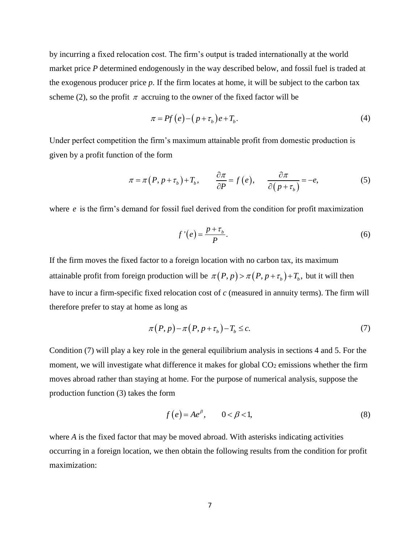by incurring a fixed relocation cost. The firm's output is traded internationally at the world market price *P* determined endogenously in the way described below, and fossil fuel is traded at the exogenous producer price *p*. If the firm locates at home, it will be subject to the carbon tax scheme (2), so the profit  $\pi$  accruing to the owner of the fixed factor will be

$$
\pi = Pf(e) - (p + \tau_b)e + T_b.
$$
\n(4)

Under perfect competition the firm's maximum attainable profit from domestic production is given by a profit function of the form

on of the form  
\n
$$
\pi = \pi (P, p + \tau_b) + T_b, \qquad \frac{\partial \pi}{\partial P} = f(e), \qquad \frac{\partial \pi}{\partial (p + \tau_b)} = -e,
$$
\n(5)

where *e* is the firm's demand for fossil fuel derived from the condition for profit maximization

$$
f'(e) = \frac{p + \tau_b}{P}.\tag{6}
$$

If the firm moves the fixed factor to a foreign location with no carbon tax, its maximum attainable profit from foreign production will be  $\pi(P, p) > \pi(P, p + \tau_b) + T_b$ , but it will then have to incur a firm-specific fixed relocation cost of *c* (measured in annuity terms). The firm will therefore prefer to stay at home as long as

$$
\pi(P, p) - \pi(P, p + \tau_b) - T_b \leq c. \tag{7}
$$

Condition (7) will play a key role in the general equilibrium analysis in sections 4 and 5. For the moment, we will investigate what difference it makes for global  $CO<sub>2</sub>$  emissions whether the firm moves abroad rather than staying at home. For the purpose of numerical analysis, suppose the production function (3) takes the form

$$
f(e) = Ae^{\beta}, \qquad 0 < \beta < 1,
$$
 (8)

where *A* is the fixed factor that may be moved abroad. With asterisks indicating activities occurring in a foreign location, we then obtain the following results from the condition for profit maximization: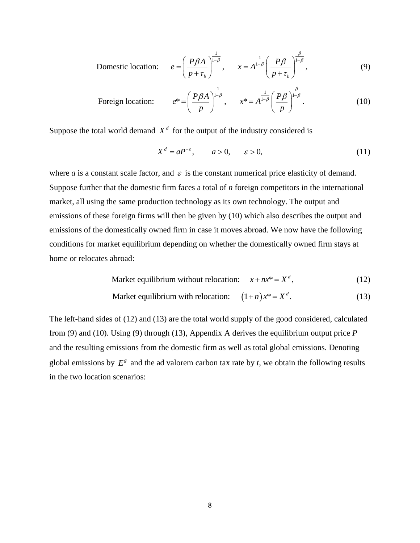Domestic location: 
$$
e = \left(\frac{P\beta A}{p + \tau_b}\right)^{\frac{1}{1-\beta}}, \qquad x = A^{\frac{1}{1-\beta}} \left(\frac{P\beta}{p + \tau_b}\right)^{\frac{\beta}{1-\beta}},
$$
 (9)

$$
\left(p + \tau_b\right) \qquad \left(p + \tau_b\right)
$$
  
Foreign location:  $e^* = \left(\frac{P\beta A}{p}\right)^{\frac{1}{1-\beta}}, \qquad x^* = A^{\frac{1}{1-\beta}} \left(\frac{P\beta}{p}\right)^{\frac{\beta}{1-\beta}}.$  (10)

Suppose the total world demand  $X<sup>d</sup>$  for the output of the industry considered is

$$
X^d = aP^{-\varepsilon}, \qquad a > 0, \qquad \varepsilon > 0,
$$
 (11)

where  $a$  is a constant scale factor, and  $\varepsilon$  is the constant numerical price elasticity of demand. Suppose further that the domestic firm faces a total of *n* foreign competitors in the international market, all using the same production technology as its own technology. The output and emissions of these foreign firms will then be given by (10) which also describes the output and emissions of the domestically owned firm in case it moves abroad. We now have the following conditions for market equilibrium depending on whether the domestically owned firm stays at home or relocates abroad:

$$
A broad:\nMarket equilibrium without relocation:  $x + nx^* = X^d$ , (12)
$$

Market equilibrium without relocation: 
$$
x + nx^* = X^d
$$
, (12)  
Market equilibrium with relocation:  $(1+n)x^* = X^d$ . (13)

The left-hand sides of (12) and (13) are the total world supply of the good considered, calculated from (9) and (10). Using (9) through (13), Appendix A derives the equilibrium output price *P*  and the resulting emissions from the domestic firm as well as total global emissions. Denoting global emissions by  $E^g$  and the ad valorem carbon tax rate by  $t$ , we obtain the following results in the two location scenarios: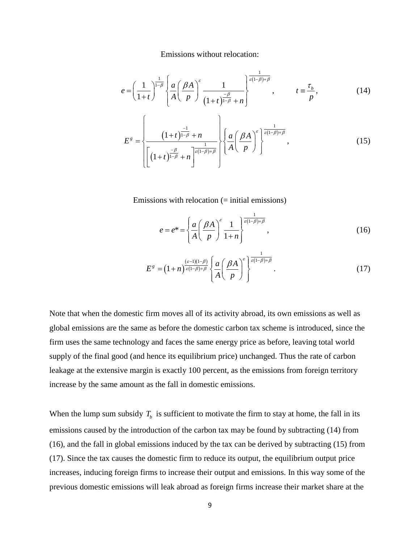Emissions without relocation:

Lipsistons without freedom.  
\n
$$
e = \left(\frac{1}{1+t}\right)^{\frac{1}{1-\beta}} \left\{\frac{a}{A} \left(\frac{\beta A}{p}\right)^{\varepsilon} \frac{1}{(1+t)^{\frac{-\beta}{1-\beta}}+n}\right\}^{\frac{1}{\varepsilon(1-\beta)+\beta}}, \qquad t \equiv \frac{\tau_b}{p}, \qquad (14)
$$

$$
E^{g} = \left\{\frac{\left(1+t\right)^{\frac{-1}{1-\beta}} + n}{\left[\left(1+t\right)^{\frac{-\beta}{1-\beta}} + n\right]^{\frac{1}{\varepsilon(1-\beta)+\beta}}}\right\} \left\{\frac{a}{A} \left(\frac{\beta A}{p}\right)^{\varepsilon} \right\}^{\frac{1}{\varepsilon(1-\beta)+\beta}},\tag{15}
$$

Emissions with relocation (= initial emissions)

$$
e = e^* = \left\{ \frac{a}{A} \left( \frac{\beta A}{p} \right)^{\varepsilon} \frac{1}{1+n} \right\}^{\frac{1}{\varepsilon(1-\beta)+\beta}}, \tag{16}
$$

$$
E^g = \left(1+n\right)^{\frac{(\varepsilon-1)\left(1-\beta\right)}{\varepsilon\left(1-\beta\right)+\beta}} \left\{\frac{a}{A} \left(\frac{\beta A}{p}\right)^{\varepsilon}\right\}^{\frac{1}{\varepsilon\left(1-\beta\right)+\beta}}.\tag{17}
$$

Note that when the domestic firm moves all of its activity abroad, its own emissions as well as global emissions are the same as before the domestic carbon tax scheme is introduced, since the firm uses the same technology and faces the same energy price as before, leaving total world supply of the final good (and hence its equilibrium price) unchanged. Thus the rate of carbon leakage at the extensive margin is exactly 100 percent, as the emissions from foreign territory increase by the same amount as the fall in domestic emissions.

When the lump sum subsidy  $T_b$  is sufficient to motivate the firm to stay at home, the fall in its emissions caused by the introduction of the carbon tax may be found by subtracting (14) from (16), and the fall in global emissions induced by the tax can be derived by subtracting (15) from (17). Since the tax causes the domestic firm to reduce its output, the equilibrium output price increases, inducing foreign firms to increase their output and emissions. In this way some of the previous domestic emissions will leak abroad as foreign firms increase their market share at the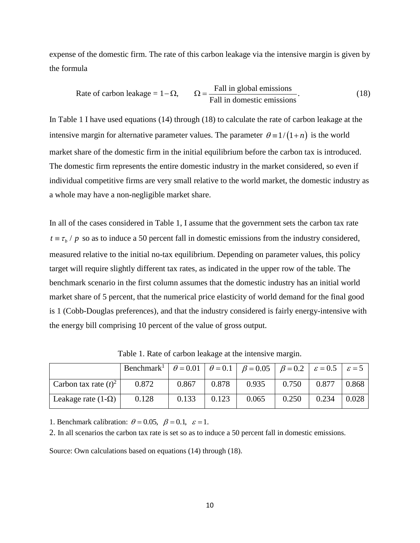expense of the domestic firm. The rate of this carbon leakage via the intensive margin is given by the formula

Fall in global emissions Rate of carbon leakage = 1 , . Fall in domestic emissions (18)

In Table 1 I have used equations (14) through (18) to calculate the rate of carbon leakage at the intensive margin for alternative parameter values. The parameter  $\theta = 1/(1+n)$  is the world market share of the domestic firm in the initial equilibrium before the carbon tax is introduced. The domestic firm represents the entire domestic industry in the market considered, so even if individual competitive firms are very small relative to the world market, the domestic industry as a whole may have a non-negligible market share.

In all of the cases considered in Table 1, I assume that the government sets the carbon tax rate  $t = \tau_b / p$  so as to induce a 50 percent fall in domestic emissions from the industry considered, measured relative to the initial no-tax equilibrium. Depending on parameter values, this policy target will require slightly different tax rates, as indicated in the upper row of the table. The benchmark scenario in the first column assumes that the domestic industry has an initial world market share of 5 percent, that the numerical price elasticity of world demand for the final good is 1 (Cobb-Douglas preferences), and that the industry considered is fairly energy-intensive with the energy bill comprising 10 percent of the value of gross output.

|                           | Benchmark <sup>1</sup>   $\theta = 0.01$   $\theta = 0.1$   $\beta = 0.05$   $\beta = 0.2$   $\varepsilon = 0.5$   $\varepsilon = 5$ |       |       |       |       |       |       |
|---------------------------|--------------------------------------------------------------------------------------------------------------------------------------|-------|-------|-------|-------|-------|-------|
| Carbon tax rate $(t)^2$   | 0.872                                                                                                                                | 0.867 | 0.878 | 0.935 | 0.750 | 0.877 | 0.868 |
| Leakage rate $(1-\Omega)$ | 0.128                                                                                                                                | 0.133 | 0.123 | 0.065 | 0.250 | 0.234 | 0.028 |

Table 1. Rate of carbon leakage at the intensive margin.

1. Benchmark calibration:  $\theta = 0.05$ ,  $\beta = 0.1$ ,  $\varepsilon = 1$ .

2. In all scenarios the carbon tax rate is set so as to induce a 50 percent fall in domestic emissions.

Source: Own calculations based on equations (14) through (18).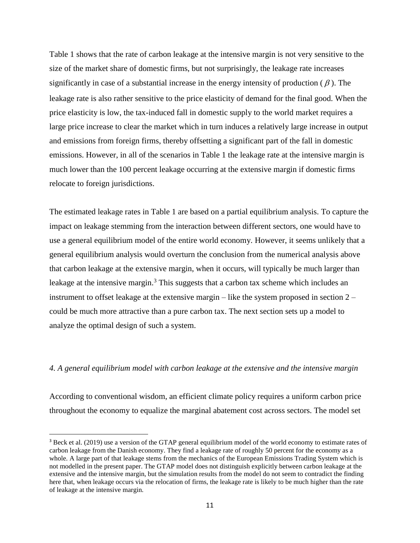Table 1 shows that the rate of carbon leakage at the intensive margin is not very sensitive to the size of the market share of domestic firms, but not surprisingly, the leakage rate increases significantly in case of a substantial increase in the energy intensity of production ( $\beta$ ). The leakage rate is also rather sensitive to the price elasticity of demand for the final good. When the price elasticity is low, the tax-induced fall in domestic supply to the world market requires a large price increase to clear the market which in turn induces a relatively large increase in output and emissions from foreign firms, thereby offsetting a significant part of the fall in domestic emissions. However, in all of the scenarios in Table 1 the leakage rate at the intensive margin is much lower than the 100 percent leakage occurring at the extensive margin if domestic firms relocate to foreign jurisdictions.

The estimated leakage rates in Table 1 are based on a partial equilibrium analysis. To capture the impact on leakage stemming from the interaction between different sectors, one would have to use a general equilibrium model of the entire world economy. However, it seems unlikely that a general equilibrium analysis would overturn the conclusion from the numerical analysis above that carbon leakage at the extensive margin, when it occurs, will typically be much larger than leakage at the intensive margin.<sup>3</sup> This suggests that a carbon tax scheme which includes an instrument to offset leakage at the extensive margin – like the system proposed in section 2 – could be much more attractive than a pure carbon tax. The next section sets up a model to analyze the optimal design of such a system.

#### *4. A general equilibrium model with carbon leakage at the extensive and the intensive margin*

According to conventional wisdom, an efficient climate policy requires a uniform carbon price throughout the economy to equalize the marginal abatement cost across sectors. The model set

 $\overline{\phantom{a}}$ 

<sup>3</sup> Beck et al. (2019) use a version of the GTAP general equilibrium model of the world economy to estimate rates of carbon leakage from the Danish economy. They find a leakage rate of roughly 50 percent for the economy as a whole. A large part of that leakage stems from the mechanics of the European Emissions Trading System which is not modelled in the present paper. The GTAP model does not distinguish explicitly between carbon leakage at the extensive and the intensive margin, but the simulation results from the model do not seem to contradict the finding here that, when leakage occurs via the relocation of firms, the leakage rate is likely to be much higher than the rate of leakage at the intensive margin.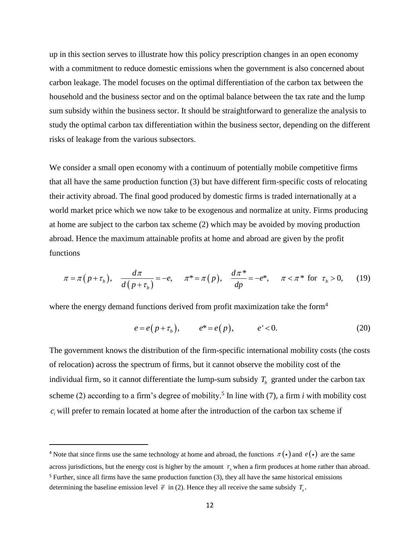up in this section serves to illustrate how this policy prescription changes in an open economy with a commitment to reduce domestic emissions when the government is also concerned about carbon leakage. The model focuses on the optimal differentiation of the carbon tax between the household and the business sector and on the optimal balance between the tax rate and the lump sum subsidy within the business sector. It should be straightforward to generalize the analysis to study the optimal carbon tax differentiation within the business sector, depending on the different risks of leakage from the various subsectors.

We consider a small open economy with a continuum of potentially mobile competitive firms that all have the same production function (3) but have different firm-specific costs of relocating their activity abroad. The final good produced by domestic firms is traded internationally at a world market price which we now take to be exogenous and normalize at unity. Firms producing at home are subject to the carbon tax scheme (2) which may be avoided by moving production abroad. Hence the maximum attainable profits at home and abroad are given by the profit<br>functions<br> $\pi = \pi (p + \tau_b), \quad \frac{d\pi}{d(\tau_b + \tau_a)} = -e, \quad \pi^* = \pi (p), \quad \frac{d\pi^*}{d\tau_b} = -e^*, \quad \pi < \pi^*$  for  $\tau_b > 0$ , functions  $\frac{d\pi}{dx} = -e, \quad \pi^* = \pi(p), \quad \frac{d\pi}{dx}$ 

$$
\pi = \pi (p + \tau_b), \quad \frac{d\pi}{d(p + \tau_b)} = -e, \quad \pi^* = \pi (p), \quad \frac{d\pi^*}{dp} = -e^*, \quad \pi < \pi^* \text{ for } \tau_b > 0,\tag{19}
$$

where the energy demand functions derived from profit maximization take the form<sup>4</sup>

$$
e = e(p + \tau_b), \qquad e^* = e(p), \qquad e' < 0. \tag{20}
$$

The government knows the distribution of the firm-specific international mobility costs (the costs of relocation) across the spectrum of firms, but it cannot observe the mobility cost of the individual firm, so it cannot differentiate the lump-sum subsidy  $T<sub>b</sub>$  granted under the carbon tax scheme (2) according to a firm's degree of mobility.<sup>5</sup> In line with (7), a firm *i* with mobility cost  $c_i$  will prefer to remain located at home after the introduction of the carbon tax scheme if

 $\overline{\phantom{a}}$ 

<sup>&</sup>lt;sup>4</sup> Note that since firms use the same technology at home and abroad, the functions  $\pi(\cdot)$  and  $e(\cdot)$  are the same across jurisdictions, but the energy cost is higher by the amount  $\tau$ <sub>b</sub> when a firm produces at home rather than abroad.

<sup>5</sup> Further, since all firms have the same production function (3), they all have the same historical emissions determining the baseline emission level  $\bar{e}$  in (2). Hence they all receive the same subsidy  $T_{\bar{b}}$ .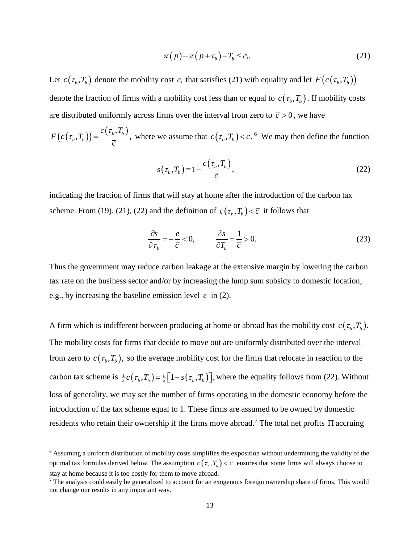$$
\pi(p) - \pi(p + \tau_b) - T_b \le c_i.
$$
\n(21)

Let  $c(\tau_b, T_b)$  denote the mobility cost  $c_i$  that satisfies (21) with equality and let  $F(c(\tau_b, T_b))$ denote the fraction of firms with a mobility cost less than or equal to  $c(\tau_b, T_b)$ . If mobility costs are distributed uniformly across firms over the interval from zero to  $\bar{c} > 0$ , we have

 $(c(\tau_{\scriptscriptstyle b},T_{\scriptscriptstyle b}))$  $(T_b)$  =  $\frac{c(\tau_b, T_b)}{T}$ ,  $_{b}$ <sup> $,I_{b}$ </sup>  $c(\tau_b, T_a)$  $F(c(\tau_b,T_b)) = \frac{c(\tau_b)}{\overline{c}}$  $(\tau_b, T_b)$  =  $\frac{c(\tau_b, I_b)}{\tau_b}$ , where we assume that  $c(\tau_b, T_b) < \overline{c}$ . We may then define the function

$$
s(\tau_b, T_b) = 1 - \frac{c(\tau_b, T_b)}{\overline{c}},
$$
\n(22)

indicating the fraction of firms that will stay at home after the introduction of the carbon tax scheme. From (19), (21), (22) and the definition of  $c(\tau_b, T_b) < \overline{c}$  it follows that

$$
\frac{\partial s}{\partial \tau_b} = -\frac{e}{\overline{c}} < 0, \qquad \frac{\partial s}{\partial T_b} = \frac{1}{\overline{c}} > 0. \tag{23}
$$

Thus the government may reduce carbon leakage at the extensive margin by lowering the carbon tax rate on the business sector and/or by increasing the lump sum subsidy to domestic location, e.g., by increasing the baseline emission level  $\bar{e}$  in (2).

 $(p) - \pi (p + \tau_b) - T_b \leq c_i$ .<br>
st  $c_i$  that satisfies (21) w<br>
obility cost less than or e<br>
so ver the interval from :<br>
assume that  $c(\tau_b, T_b) < \overline{c}$ <br>  $T_b$ ,  $T_b$ ) =  $1 - \frac{c(\tau_b, T_b)}{\overline{c}}$ ,<br>
will stay at home after the<br>
e definiti A firm which is indifferent between producing at home or abroad has the mobility cost  $c(\tau_b, T_b)$ . The mobility costs for firms that decide to move out are uniformly distributed over the interval from zero to  $c(\tau_b, T_b)$ , so the average mobility cost for the firms that relocate in reaction to the carbon tax scheme is  $\frac{1}{2}c(\tau_b, T_b) = \frac{\bar{c}}{2} |1 - s(\tau_b, T_b)|$  $\frac{1}{2}c(\tau_b, T_b) = \frac{\bar{c}}{2} \Big[1 - s(\tau_b, T_b)\Big]$ , where the equality follows from (22). Without loss of generality, we may set the number of firms operating in the domestic economy before the introduction of the tax scheme equal to 1. These firms are assumed to be owned by domestic residents who retain their ownership if the firms move abroad.<sup>7</sup> The total net profits  $\Pi$  accruing

 $\overline{a}$ 

<sup>&</sup>lt;sup>6</sup> Assuming a uniform distribution of mobility costs simplifies the exposition without undermining the validity of the optimal tax formulas derived below. The assumption  $c(\tau_{\nu},T_{\nu}) < \overline{c}$  ensures that some firms will always choose to stay at home because it is too costly for them to move abroad.

<sup>7</sup> The analysis could easily be generalized to account for an exogenous foreign ownership share of firms. This would not change our results in any important way.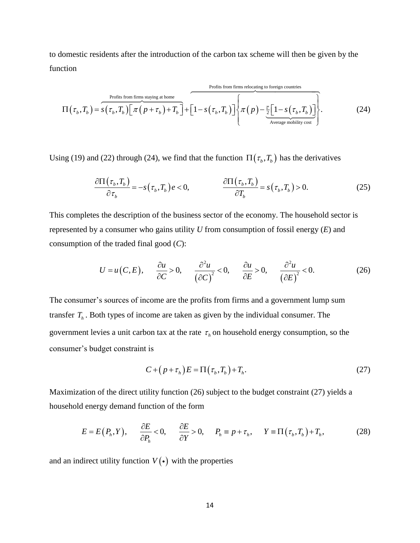to domestic residents after the introduction of the carbon tax scheme will then be given by the function

Profits from firms staying at home

\n
$$
\Pi(\tau_b, T_b) = s(\tau_b, T_b) \left[ \pi(p + \tau_b) + T_b \right] + \left[ 1 - s(\tau_b, T_b) \right] \left\{ \pi(p) - \frac{\overline{c}}{2} \left[ 1 - s(\tau_b, T_b) \right] \right\}.
$$
\n(24)

Using (19) and (22) through (24), we find that the function 
$$
\Pi(\tau_b, T_b)
$$
 has the derivatives  
\n
$$
\frac{\partial \Pi(\tau_b, T_b)}{\partial \tau_b} = -s(\tau_b, T_b) e < 0, \qquad \frac{\partial \Pi(\tau_b, T_b)}{\partial T_b} = s(\tau_b, T_b) > 0.
$$
\n(25)

This completes the description of the business sector of the economy. The household sector is represented by a consumer who gains utility *U* from consumption of fossil energy (*E*) and consumption of the traded final good (*C*):

If the traded final good (C):  
\n
$$
U = u(C, E), \quad \frac{\partial u}{\partial C} > 0, \quad \frac{\partial^2 u}{(\partial C)^2} < 0, \quad \frac{\partial u}{\partial E} > 0, \quad \frac{\partial^2 u}{(\partial E)^2} < 0.
$$
 (26)

The consumer's sources of income are the profits from firms and a government lump sum transfer  $T<sub>h</sub>$ . Both types of income are taken as given by the individual consumer. The government levies a unit carbon tax at the rate  $\tau$ <sub>h</sub> on household energy consumption, so the consumer's budget constraint is

$$
C + (p + \tau_h)E = \Pi(\tau_b, T_b) + T_h.
$$
\n(27)

Maximization of the direct utility function (26) subject to the budget constraint (27) yields a household energy demand function of the form

d energy demand function of the form  
\n
$$
E = E(P_h, Y), \qquad \frac{\partial E}{\partial P_h} < 0, \qquad \frac{\partial E}{\partial Y} > 0, \qquad P_h \equiv p + \tau_h, \qquad Y \equiv \Pi(\tau_h, T_h) + T_h,
$$
\n(28)

and an indirect utility function  $V(\cdot)$  with the properties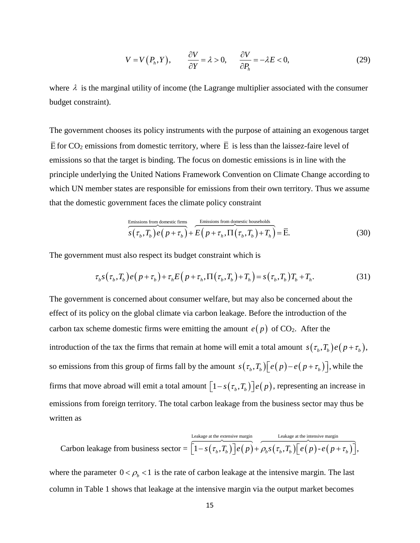$$
V = V(P_h, Y), \qquad \frac{\partial V}{\partial Y} = \lambda > 0, \qquad \frac{\partial V}{\partial P_h} = -\lambda E < 0,
$$
\n(29)

where  $\lambda$  is the marginal utility of income (the Lagrange multiplier associated with the consumer budget constraint).

The government chooses its policy instruments with the purpose of attaining an exogenous target  $\overline{E}$  for CO<sub>2</sub> emissions from domestic territory, where  $\overline{E}$  is less than the laissez-faire level of emissions so that the target is binding. The focus on domestic emissions is in line with the principle underlying the United Nations Framework Convention on Climate Change according to which UN member states are responsible for emissions from their own territory. Thus we assume that the domestic government faces the climate policy constraint

$$
\frac{\text{Emissions from domestic firms}}{s(\tau_b, T_b) e(p + \tau_b)} + \frac{\text{Emissions from domestic households}}{E(p + \tau_h, \Pi(\tau_b, T_b) + T_h)} = \overline{E}.
$$
\n(30)

The government must also respect its budget constraint which is  
\n
$$
\tau_b s(\tau_b, T_b) e(p + \tau_b) + \tau_h E(p + \tau_h, \Pi(\tau_b, T_b) + T_h) = s(\tau_b, T_b) T_b + T_h.
$$
\n(31)

 $(P_h, Y),$   $\frac{U_t}{\partial Y} = \lambda$ <br>ty of income (the Lag<br>oblicy instruments wi<br>mestic territory, whe<br>binding. The focus of<br>ed Nations Framewo<br>responsible for emis<br>faces the climate po<br>somplomestic firms<br> $T_h$ )  $e(p + \tau_h) + E(p + \tau_h, \Pi)$ <br>sp The government is concerned about consumer welfare, but may also be concerned about the effect of its policy on the global climate via carbon leakage. Before the introduction of the carbon tax scheme domestic firms were emitting the amount  $e(p)$  of CO<sub>2</sub>. After the introduction of the tax the firms that remain at home will emit a total amount  $s(\tau_b, T_b) e(p + \tau_b)$ , so emissions from this group of firms fall by the amount  $s(\tau_b, T_b)[e(p)-e(p+\tau_b)]$ , while the firms that move abroad will emit a total amount  $\left[1 - s(\tau_b, T_b)\right] e(p)$ , representing an increase in emissions from foreign territory. The total carbon leakage from the business sector may thus be written as

ritten as  
\nCarbon leakage from business sector = 
$$
\overbrace{\left[1-s(\tau_b,\overline{T_b})\right]}^{L\text{eakage at the extensive margin}} e(p) + \rho_b s(\tau_b,\overline{T_b}) \left[e(p) - e(p+\tau_b)\right],
$$

where the parameter  $0 < \rho_b < 1$  is the rate of carbon leakage at the intensive margin. The last column in Table 1 shows that leakage at the intensive margin via the output market becomes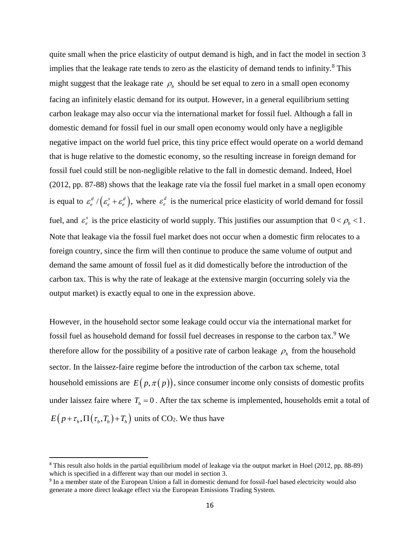quite small when the price elasticity of output demand is high, and in fact the model in section 3 implies that the leakage rate tends to zero as the elasticity of demand tends to infinity.<sup>8</sup> This might suggest that the leakage rate  $\rho_b$  should be set equal to zero in a small open economy facing an infinitely elastic demand for its output. However, in a general equilibrium setting carbon leakage may also occur via the international market for fossil fuel. Although a fall in domestic demand for fossil fuel in our small open economy would only have a negligible negative impact on the world fuel price, this tiny price effect would operate on a world demand that is huge relative to the domestic economy, so the resulting increase in foreign demand for fossil fuel could still be non-negligible relative to the fall in domestic demand. Indeed, Hoel (2012, pp. 87-88) shows that the leakage rate via the fossil fuel market in a small open economy is equal to  $\varepsilon_e^d$  / $(\varepsilon_e^s + \varepsilon_e^d)$ ,  $\varepsilon_e^d$  / $(\varepsilon_e^s + \varepsilon_e^d)$ , where  $\varepsilon_e^d$  $\varepsilon_e^d$  is the numerical price elasticity of world demand for fossil fuel, and  $\varepsilon$ <sup>*s*</sup>  $\varepsilon_e^s$  is the price elasticity of world supply. This justifies our assumption that  $0 < \rho_b < 1$ . Note that leakage via the fossil fuel market does not occur when a domestic firm relocates to a foreign country, since the firm will then continue to produce the same volume of output and demand the same amount of fossil fuel as it did domestically before the introduction of the carbon tax. This is why the rate of leakage at the extensive margin (occurring solely via the output market) is exactly equal to one in the expression above.

However, in the household sector some leakage could occur via the international market for fossil fuel as household demand for fossil fuel decreases in response to the carbon tax. <sup>9</sup> We therefore allow for the possibility of a positive rate of carbon leakage  $\rho_h$  from the household sector. In the laissez-faire regime before the introduction of the carbon tax scheme, total household emissions are  $E(p, \pi(p))$ , since consumer income only consists of domestic profits under laissez faire where  $T<sub>h</sub> = 0$ . After the tax scheme is implemented, households emit a total of  $E(p+\tau_h, \Pi(\tau_b, T_b) + T_h)$  units of CO<sub>2</sub>. We thus have

 $\overline{a}$ 

<sup>8</sup> This result also holds in the partial equilibrium model of leakage via the output market in Hoel (2012, pp. 88-89) which is specified in a different way than our model in section 3.

<sup>&</sup>lt;sup>9</sup> In a member state of the European Union a fall in domestic demand for fossil-fuel based electricity would also generate a more direct leakage effect via the European Emissions Trading System.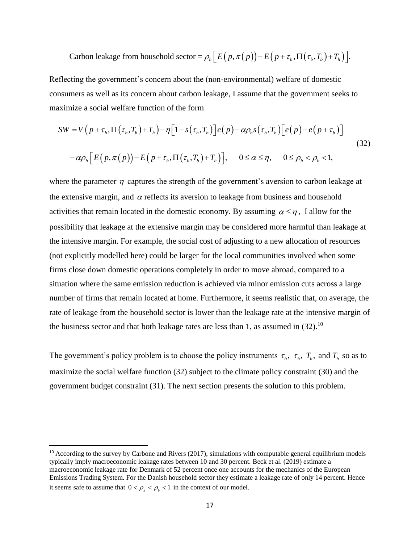Carbon leakage from household sector = 
$$
\rho_h \Big[ E\big(p, \pi(p)\big) - E\big(p + \tau_h, \Pi\big(\tau_b, T_b\big) + T_h\big) \Big].
$$

Reflecting the government's concern about the (non-environmental) welfare of domestic consumers as well as its concern about carbon leakage, I assume that the government seeks to maximize a social welfare function of the form The state of the form<br>  $\pi$ ,  $\Pi(\tau_b, T_b) + T_h$ ) –  $\eta [1 - s(\tau_b, T_b)] e(p) - \alpha \rho_b s(\tau_b,$ *SW* =  $V(p + \tau_h, \Pi(\tau_b, T_b) + T_h) - \eta [1 - s(\tau_b, T_b)]e(p) - \alpha \rho_b s(\tau_b, T_b)[e(p) - e(p)$ The assume that the government seeks to<br>ial welfare function of the form<br> $\tau_h, \Pi(\tau_b, T_b) + T_h - \eta [1 - s(\tau_b, T_b)]e(p) - \alpha \rho_b s(\tau_b, T_b)[e(p) - e(p + \tau_b)]$ 

insumes as well as its concern about carbon leakage, I assume that the government seeks to  
\naximize a social welfare function of the form

\n
$$
SW = V\left(p + \tau_h, \Pi\left(\tau_b, T_b\right) + T_h\right) - \eta \left[1 - s\left(\tau_b, T_b\right)\right] e\left(p\right) - \alpha \rho_b s\left(\tau_b, T_b\right) \left[e\left(p\right) - e\left(p + \tau_b\right)\right]
$$
\n
$$
-\alpha \rho_h \left[E\left(p, \pi\left(p\right)\right) - E\left(p + \tau_h, \Pi\left(\tau_b, T_b\right) + T_h\right)\right], \quad 0 \leq \alpha \leq \eta, \quad 0 \leq \rho_h < \rho_b < 1,
$$
\n(32)

Curbon leakage from household sector  $-\rho_i [E(p, \pi(\mathbf{p})) - E(p + \tau, 11(\tau_1, T_2) + T_1)].$ <br>tring the government's concern about the (non-environmental) welfare of domestic<br>mers as well as its concern about curbon leakage. I assume th where the parameter  $\eta$  captures the strength of the government's aversion to carbon leakage at the extensive margin, and  $\alpha$  reflects its aversion to leakage from business and household activities that remain located in the domestic economy. By assuming  $\alpha \leq \eta$ , I allow for the possibility that leakage at the extensive margin may be considered more harmful than leakage at the intensive margin. For example, the social cost of adjusting to a new allocation of resources (not explicitly modelled here) could be larger for the local communities involved when some firms close down domestic operations completely in order to move abroad, compared to a situation where the same emission reduction is achieved via minor emission cuts across a large number of firms that remain located at home. Furthermore, it seems realistic that, on average, the rate of leakage from the household sector is lower than the leakage rate at the intensive margin of the business sector and that both leakage rates are less than 1, as assumed in  $(32)$ .<sup>10</sup>

The government's policy problem is to choose the policy instruments  $\tau_b$ ,  $\tau_h$ ,  $T_b$ , and  $T_h$  so as to maximize the social welfare function (32) subject to the climate policy constraint (30) and the government budget constraint (31). The next section presents the solution to this problem.

 $\overline{a}$ 

 $10$  According to the survey by Carbone and Rivers (2017), simulations with computable general equilibrium models typically imply macroeconomic leakage rates between 10 and 30 percent. Beck et al. (2019) estimate a macroeconomic leakage rate for Denmark of 52 percent once one accounts for the mechanics of the European Emissions Trading System. For the Danish household sector they estimate a leakage rate of only 14 percent. Hence it seems safe to assume that  $0 < \rho_{h} < \rho_{b} < 1$  in the context of our model.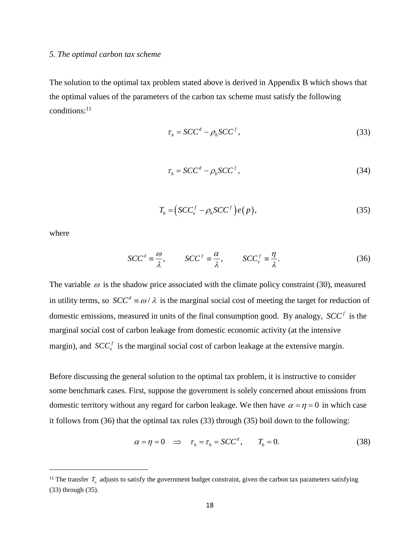## *5. The optimal carbon tax scheme*

The solution to the optimal tax problem stated above is derived in Appendix B which shows that the optimal values of the parameters of the carbon tax scheme must satisfy the following conditions:<sup>11</sup>

$$
\tau_h = SCC^d - \rho_h SCC^f,\tag{33}
$$

$$
\tau_b = SCC^d - \rho_b SCC^f,\tag{34}
$$

$$
T_b = (SCC_e^f - \rho_b SCC^f)e(p), \qquad (35)
$$

where

 $\overline{\phantom{a}}$ 

$$
SCC^{d} = \frac{\omega}{\lambda}, \qquad SCC^{f} = \frac{\alpha}{\lambda}, \qquad SCC^{f}_{e} = \frac{\eta}{\lambda}.
$$
 (36)

The variable  $\omega$  is the shadow price associated with the climate policy constraint (30), measured in utility terms, so  $SCC^d \equiv \omega/\lambda$  is the marginal social cost of meeting the target for reduction of domestic emissions, measured in units of the final consumption good. By analogy,  $SCC<sup>f</sup>$  is the marginal social cost of carbon leakage from domestic economic activity (at the intensive margin), and  $SCC<sub>e</sub><sup>f</sup>$  $SCC<sub>e</sub><sup>f</sup>$  is the marginal social cost of carbon leakage at the extensive margin.

Before discussing the general solution to the optimal tax problem, it is instructive to consider some benchmark cases. First, suppose the government is solely concerned about emissions from domestic territory without any regard for carbon leakage. We then have  $\alpha = \eta = 0$  in which case it follows from (36) that the optimal tax rules (33) through (35) boil down to the following:

$$
\alpha = \eta = 0 \quad \Rightarrow \quad \tau_h = \tau_b = SCC^d, \qquad T_b = 0. \tag{38}
$$

<sup>&</sup>lt;sup>11</sup> The transfer  $T<sub>h</sub>$  adjusts to satisfy the government budget constraint, given the carbon tax parameters satisfying (33) through (35).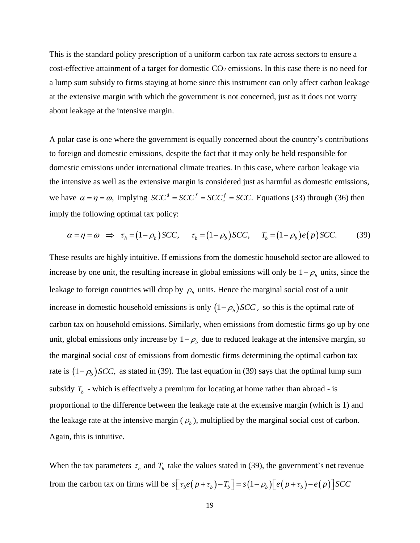This is the standard policy prescription of a uniform carbon tax rate across sectors to ensure a cost-effective attainment of a target for domestic  $CO<sub>2</sub>$  emissions. In this case there is no need for a lump sum subsidy to firms staying at home since this instrument can only affect carbon leakage at the extensive margin with which the government is not concerned, just as it does not worry about leakage at the intensive margin.

A polar case is one where the government is equally concerned about the country's contributions to foreign and domestic emissions, despite the fact that it may only be held responsible for domestic emissions under international climate treaties. In this case, where carbon leakage via the intensive as well as the extensive margin is considered just as harmful as domestic emissions, we have  $\alpha = \eta = \omega$ , implying  $SCC^d = SCC^f = SCC$ , Equations (33) through (36) then imply the following optimal tax policy: the following optimal tax policy:<br>  $\alpha = \eta = \omega \implies \tau_h = (1 - \rho_h)SCC, \quad \tau_b = (1 - \rho_b)SCC, \quad T_b = (1 - \rho_b)e(p)SCC.$  (39)

$$
\alpha = \eta = \omega \implies \tau_h = (1 - \rho_h) \text{SCC}, \quad \tau_b = (1 - \rho_b) \text{SCC}, \quad T_b = (1 - \rho_b) \text{e(p) } \text{SCC}. \tag{39}
$$

These results are highly intuitive. If emissions from the domestic household sector are allowed to increase by one unit, the resulting increase in global emissions will only be  $1 - \rho_h$  units, since the leakage to foreign countries will drop by  $\rho_h$  units. Hence the marginal social cost of a unit increase in domestic household emissions is only  $(1 - \rho_h)$  *SCC*, so this is the optimal rate of carbon tax on household emissions. Similarly, when emissions from domestic firms go up by one unit, global emissions only increase by  $1 - \rho_b$  due to reduced leakage at the intensive margin, so the marginal social cost of emissions from domestic firms determining the optimal carbon tax rate is  $(1 - \rho_b)$  *SCC*, as stated in (39). The last equation in (39) says that the optimal lump sum subsidy  $T_b$  - which is effectively a premium for locating at home rather than abroad - is proportional to the difference between the leakage rate at the extensive margin (which is 1) and the leakage rate at the intensive margin  $(\rho_b)$ , multiplied by the marginal social cost of carbon. Again, this is intuitive.

When the tax parameters  $\tau_b$  and  $T_b$  take the values stated in (39), the government's net revenue from the carbon tax on firms will be ake the values stated in (39), the government's net revenue<br>  $s[\tau_b e(p + \tau_b) - T_b] = s(1 - \rho_b)[e(p + \tau_b) - e(p)]$  *SCC*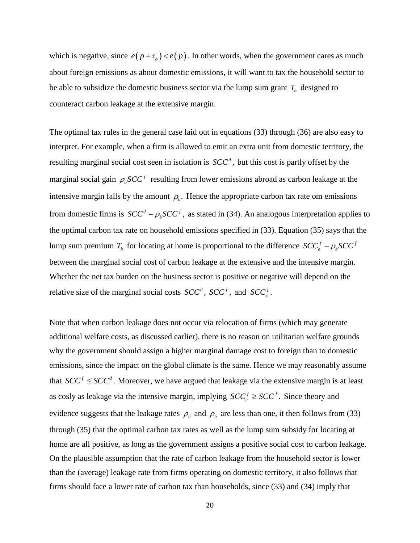which is negative, since  $e(p+\tau_b) < e(p)$ . In other words, when the government cares as much about foreign emissions as about domestic emissions, it will want to tax the household sector to be able to subsidize the domestic business sector via the lump sum grant  $T<sub>b</sub>$  designed to counteract carbon leakage at the extensive margin.

The optimal tax rules in the general case laid out in equations (33) through (36) are also easy to interpret. For example, when a firm is allowed to emit an extra unit from domestic territory, the resulting marginal social cost seen in isolation is  $SCC<sup>d</sup>$ , but this cost is partly offset by the marginal social gain  $\rho_b$   $SCC<sup>f</sup>$  resulting from lower emissions abroad as carbon leakage at the intensive margin falls by the amount  $\rho_b$ . Hence the appropriate carbon tax rate om emissions from domestic firms is  $SCC^d - \rho_b SCC^f$ ,  $SCC<sup>d</sup> - \rho_b SCC<sup>f</sup>$ , as stated in (34). An analogous interpretation applies to the optimal carbon tax rate on household emissions specified in (33). Equation (35) says that the lump sum premium  $T<sub>b</sub>$  for locating at home is proportional to the difference  $SCC<sub>e</sub><sup>f</sup> - \rho<sub>b</sub>SCC<sup>f</sup>$ between the marginal social cost of carbon leakage at the extensive and the intensive margin. Whether the net tax burden on the business sector is positive or negative will depend on the relative size of the marginal social costs  $SCC<sup>d</sup>$ ,  $SCC<sup>f</sup>$ , and  $SCC<sup>f</sup>$ .

Note that when carbon leakage does not occur via relocation of firms (which may generate additional welfare costs, as discussed earlier), there is no reason on utilitarian welfare grounds why the government should assign a higher marginal damage cost to foreign than to domestic emissions, since the impact on the global climate is the same. Hence we may reasonably assume that  $SCC<sup>f</sup> \leq SCC<sup>d</sup>$ . Moreover, we have argued that leakage via the extensive margin is at least as cosly as leakage via the intensive margin, implying  $SCC_{e}^{f} \geq SCC^{f}$ .  $SCC_e^f \geq SCC^f$ . Since theory and evidence suggests that the leakage rates  $\rho_h$  and  $\rho_b$  are less than one, it then follows from (33) through (35) that the optimal carbon tax rates as well as the lump sum subsidy for locating at home are all positive, as long as the government assigns a positive social cost to carbon leakage. On the plausible assumption that the rate of carbon leakage from the household sector is lower than the (average) leakage rate from firms operating on domestic territory, it also follows that firms should face a lower rate of carbon tax than households, since (33) and (34) imply that

20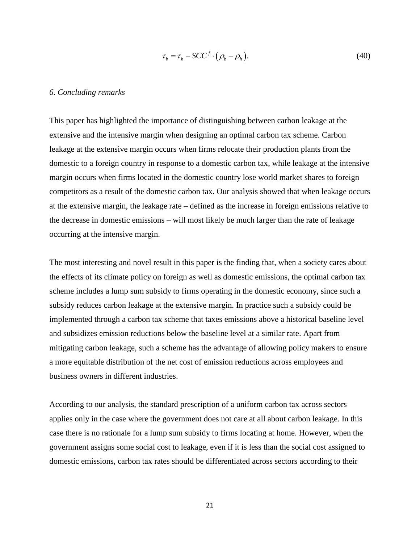$$
\tau_b = \tau_h - SCC^f \cdot (\rho_b - \rho_h). \tag{40}
$$

#### *6. Concluding remarks*

f  $\cdot$   $\cdot$   $\left(\rho_b - \rho_h\right)$ .<br>stinguishing l<br>ing an optim<br>ms relocate t<br>omestic carbe<br>ic country lo<br>ax. Our analy<br>ed as the increase inclikely be muc<br>ber is the find<br>likely be muc<br>ber is the find<br>likely be muc<br>ber is the fi This paper has highlighted the importance of distinguishing between carbon leakage at the extensive and the intensive margin when designing an optimal carbon tax scheme. Carbon leakage at the extensive margin occurs when firms relocate their production plants from the domestic to a foreign country in response to a domestic carbon tax, while leakage at the intensive margin occurs when firms located in the domestic country lose world market shares to foreign competitors as a result of the domestic carbon tax. Our analysis showed that when leakage occurs at the extensive margin, the leakage rate – defined as the increase in foreign emissions relative to the decrease in domestic emissions – will most likely be much larger than the rate of leakage occurring at the intensive margin.

The most interesting and novel result in this paper is the finding that, when a society cares about the effects of its climate policy on foreign as well as domestic emissions, the optimal carbon tax scheme includes a lump sum subsidy to firms operating in the domestic economy, since such a subsidy reduces carbon leakage at the extensive margin. In practice such a subsidy could be implemented through a carbon tax scheme that taxes emissions above a historical baseline level and subsidizes emission reductions below the baseline level at a similar rate. Apart from mitigating carbon leakage, such a scheme has the advantage of allowing policy makers to ensure a more equitable distribution of the net cost of emission reductions across employees and business owners in different industries.

According to our analysis, the standard prescription of a uniform carbon tax across sectors applies only in the case where the government does not care at all about carbon leakage. In this case there is no rationale for a lump sum subsidy to firms locating at home. However, when the government assigns some social cost to leakage, even if it is less than the social cost assigned to domestic emissions, carbon tax rates should be differentiated across sectors according to their

21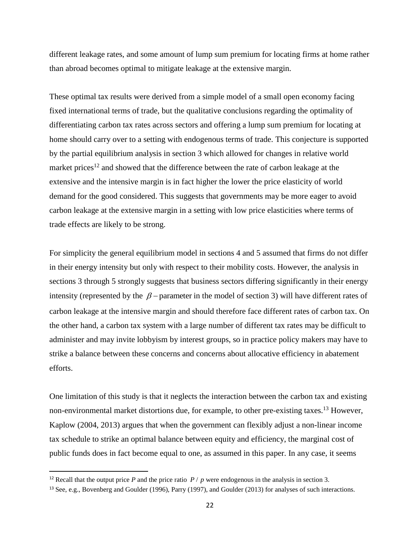different leakage rates, and some amount of lump sum premium for locating firms at home rather than abroad becomes optimal to mitigate leakage at the extensive margin.

These optimal tax results were derived from a simple model of a small open economy facing fixed international terms of trade, but the qualitative conclusions regarding the optimality of differentiating carbon tax rates across sectors and offering a lump sum premium for locating at home should carry over to a setting with endogenous terms of trade. This conjecture is supported by the partial equilibrium analysis in section 3 which allowed for changes in relative world market prices<sup>12</sup> and showed that the difference between the rate of carbon leakage at the extensive and the intensive margin is in fact higher the lower the price elasticity of world demand for the good considered. This suggests that governments may be more eager to avoid carbon leakage at the extensive margin in a setting with low price elasticities where terms of trade effects are likely to be strong.

For simplicity the general equilibrium model in sections 4 and 5 assumed that firms do not differ in their energy intensity but only with respect to their mobility costs. However, the analysis in sections 3 through 5 strongly suggests that business sectors differing significantly in their energy intensity (represented by the  $\beta$  – parameter in the model of section 3) will have different rates of carbon leakage at the intensive margin and should therefore face different rates of carbon tax. On the other hand, a carbon tax system with a large number of different tax rates may be difficult to administer and may invite lobbyism by interest groups, so in practice policy makers may have to strike a balance between these concerns and concerns about allocative efficiency in abatement efforts.

One limitation of this study is that it neglects the interaction between the carbon tax and existing non-environmental market distortions due, for example, to other pre-existing taxes.<sup>13</sup> However, Kaplow (2004, 2013) argues that when the government can flexibly adjust a non-linear income tax schedule to strike an optimal balance between equity and efficiency, the marginal cost of public funds does in fact become equal to one, as assumed in this paper. In any case, it seems

 $\overline{\phantom{a}}$ 

<sup>&</sup>lt;sup>12</sup> Recall that the output price *P* and the price ratio  $P / p$  were endogenous in the analysis in section 3.

<sup>13</sup> See, e.g., Bovenberg and Goulder (1996), Parry (1997), and Goulder (2013) for analyses of such interactions.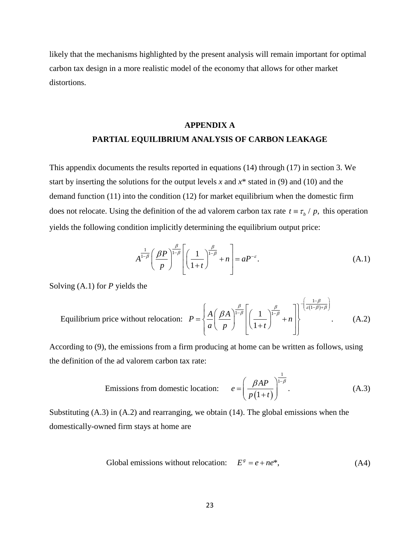likely that the mechanisms highlighted by the present analysis will remain important for optimal carbon tax design in a more realistic model of the economy that allows for other market distortions.

# **APPENDIX A PARTIAL EQUILIBRIUM ANALYSIS OF CARBON LEAKAGE**

This appendix documents the results reported in equations (14) through (17) in section 3. We start by inserting the solutions for the output levels *x* and *x*\* stated in (9) and (10) and the demand function (11) into the condition (12) for market equilibrium when the domestic firm does not relocate. Using the definition of the ad valorem carbon tax rate  $t = \tau_b / p$ , this operation yields the following condition implicitly determining the equilibrium output price:

$$
A^{\frac{1}{1-\beta}}\left(\frac{\beta P}{p}\right)^{\frac{\beta}{1-\beta}}\left[\left(\frac{1}{1+t}\right)^{\frac{\beta}{1-\beta}}+n\right]=aP^{-\varepsilon}.
$$
\n(A.1)

Solving (A.1) for *P* yields the

ving (A.1) for *P* yields the  
Equilibrium price without relocation: 
$$
P = \left\{ \frac{A}{a} \left( \frac{\beta A}{p} \right)^{\frac{\beta}{1-\beta}} \left[ \left( \frac{1}{1+t} \right)^{\frac{\beta}{1-\beta}} + n \right] \right\}^{-\left(\frac{1-\beta}{\varepsilon(1-\beta)+\beta}\right)}.
$$
 (A.2)

According to (9), the emissions from a firm producing at home can be written as follows, using the definition of the ad valorem carbon tax rate:

the ad valorem carbon tax rate:  
Emissions from domestic location: 
$$
e = \left(\frac{\beta AP}{p(1+t)}\right)^{\frac{1}{1-\beta}}
$$
. (A.3)

Substituting (A.3) in (A.2) and rearranging, we obtain (14). The global emissions when the domestically-owned firm stays at home are

Global emissions without relocation: 
$$
E^s = e + ne^*
$$
, (A4)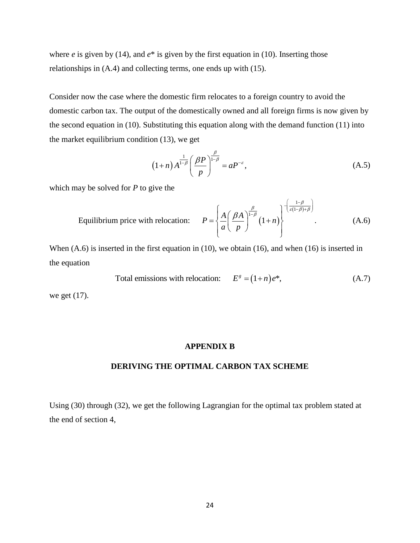where *e* is given by (14), and  $e^*$  is given by the first equation in (10). Inserting those relationships in (A.4) and collecting terms, one ends up with (15).

Consider now the case where the domestic firm relocates to a foreign country to avoid the domestic carbon tax. The output of the domestically owned and all foreign firms is now given by the second equation in (10). Substituting this equation along with the demand function (11) into the market equilibrium condition (13), we get

$$
(1+n) A^{\frac{1}{1-\beta}} \left(\frac{\beta P}{p}\right)^{\frac{\beta}{1-\beta}} = a P^{-\varepsilon}, \tag{A.5}
$$

which may be solved for *P* to give the

By the solved for *P* to give the Equilibrium price with relocation:

\n
$$
P = \left\{ \frac{A}{a} \left( \frac{\beta A}{p} \right)^{\frac{\beta}{1-\beta}} \left( 1+n \right) \right\}^{-\left( \frac{1-\beta}{\varepsilon(1-\beta)+\beta} \right)}.
$$
\n(A.6)

When (A.6) is inserted in the first equation in (10), we obtain (16), and when (16) is inserted in the equation

Total emissions with relocation: 
$$
E^s = (1+n)e^*
$$
, (A.7)

we get (17).

#### **APPENDIX B**

## **DERIVING THE OPTIMAL CARBON TAX SCHEME**

Using (30) through (32), we get the following Lagrangian for the optimal tax problem stated at the end of section 4,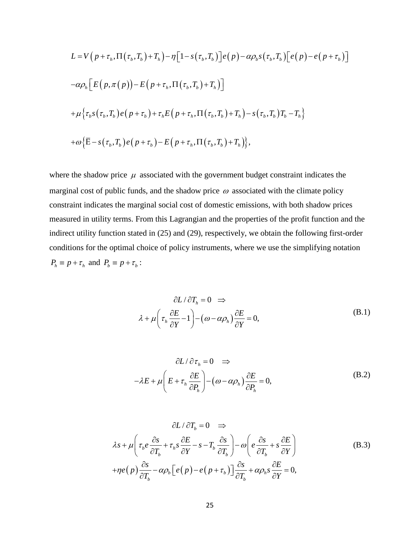$$
L = V(p + \tau_h, \Pi(\tau_b, T_b) + T_h) - \eta [1 - s(\tau_b, T_b)]e(p) - \alpha \rho_b s(\tau_b, T_b)[e(p) - e(p + \tau_b)]
$$
  
\n
$$
-\alpha \rho_h [E(p, \pi(p)) - E(p + \tau_h, \Pi(\tau_b, T_b) + T_h)]
$$
  
\n
$$
+ \mu \{\tau_b s(\tau_b, T_b)e(p + \tau_b) + \tau_h E(p + \tau_h, \Pi(\tau_b, T_b) + T_h) - s(\tau_b, T_b)T_b - T_h\}
$$
  
\n
$$
+ \omega \{\overline{E} - s(\tau_b, T_b)e(p + \tau_b) - E(p + \tau_h, \Pi(\tau_b, T_b) + T_h)\},
$$

where the shadow price  $\mu$  associated with the government budget constraint indicates the marginal cost of public funds, and the shadow price  $\omega$  associated with the climate policy constraint indicates the marginal social cost of domestic emissions, with both shadow prices measured in utility terms. From this Lagrangian and the properties of the profit function and the indirect utility function stated in (25) and (29), respectively, we obtain the following first-order conditions for the optimal choice of policy instruments, where we use the simplifying notation  $P_h \equiv p + \tau_h$  and  $P_b \equiv p + \tau_b$ :

$$
\frac{\partial L}{\partial T_h} = 0 \implies \n\lambda + \mu \left( \tau_h \frac{\partial E}{\partial Y} - 1 \right) - \left( \omega - \alpha \rho_h \right) \frac{\partial E}{\partial Y} = 0,
$$
\n(B.1)

$$
\partial L / \partial \tau_h = 0 \implies
$$
  

$$
-\lambda E + \mu \left( E + \tau_h \frac{\partial E}{\partial P_h} \right) - \left( \omega - \alpha \rho_h \right) \frac{\partial E}{\partial P_h} = 0,
$$
 (B.2)

$$
\partial L / \partial T_b = 0 \implies
$$
  
\n
$$
\lambda s + \mu \left( \tau_b e \frac{\partial s}{\partial T_b} + \tau_h s \frac{\partial E}{\partial Y} - s - T_b \frac{\partial s}{\partial T_b} \right) - \omega \left( e \frac{\partial s}{\partial T_b} + s \frac{\partial E}{\partial Y} \right)
$$
  
\n
$$
+ \eta e(p) \frac{\partial s}{\partial T_b} - \alpha \rho_b \left[ e(p) - e(p + \tau_b) \right] \frac{\partial s}{\partial T_b} + \alpha \rho_h s \frac{\partial E}{\partial Y} = 0,
$$
\n(B.3)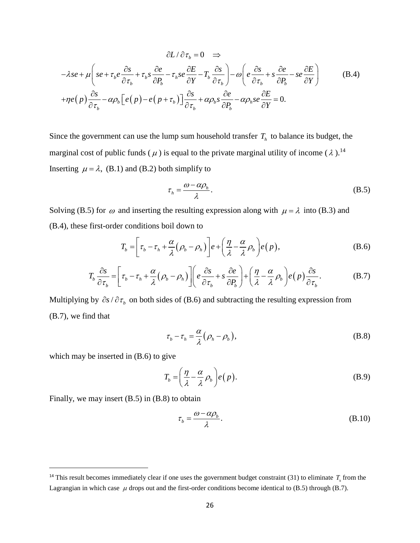$$
\partial L / \partial \tau_b = 0 \implies
$$
  

$$
-\lambda s e + \mu \left( s e + \tau_b e \frac{\partial s}{\partial \tau_b} + \tau_b s \frac{\partial e}{\partial P_b} - \tau_b s e \frac{\partial E}{\partial Y} - T_b \frac{\partial s}{\partial \tau_b} \right) - \omega \left( e \frac{\partial s}{\partial \tau_b} + s \frac{\partial e}{\partial P_b} - s e \frac{\partial E}{\partial Y} \right)
$$
(B.4)  

$$
+ \eta e(p) \frac{\partial s}{\partial \tau_b} - \alpha \rho_b \left[ e(p) - e(p + \tau_b) \right] \frac{\partial s}{\partial \tau_b} + \alpha \rho_b s \frac{\partial e}{\partial P_b} - \alpha \rho_b s e \frac{\partial E}{\partial Y} = 0.
$$

Since the government can use the lump sum household transfer  $T_h$  to balance its budget, the marginal cost of public funds ( $\mu$ ) is equal to the private marginal utility of income ( $\lambda$ ).<sup>14</sup> Inserting  $\mu = \lambda$ , (B.1) and (B.2) both simplify to

$$
\tau_h = \frac{\omega - \alpha \rho_h}{\lambda}.
$$
 (B.5)

Solving (B.5) for  $\omega$  and inserting the resulting expression along with  $\mu = \lambda$  into (B.3) and

(B.4), these first-order conditions both down to  
\n
$$
T_b = \left[\tau_b - \tau_h + \frac{\alpha}{\lambda}(\rho_b - \rho_h)\right]e + \left(\frac{\eta}{\lambda} - \frac{\alpha}{\lambda}\rho_b\right)e(p),
$$
\n(B.6)  
\n
$$
T_b \frac{\partial s}{\partial t} = \left[\tau_b - \tau_h + \frac{\alpha}{\lambda}(\rho_b - \rho_h)\right]\left[e\frac{\partial s}{\partial t} + s\frac{\partial e}{\partial t}\right] + \left(\frac{\eta}{\lambda} - \frac{\alpha}{\lambda}\rho_b\right)e(p)\frac{\partial s}{\partial t}.
$$
 (B.7)

$$
T_b = \left[\tau_b - \tau_h + \frac{\alpha}{\lambda}(\rho_b - \rho_h)\right]e + \left(\frac{\eta}{\lambda} - \frac{\alpha}{\lambda}\rho_b\right)e(p),
$$
(B.6)  

$$
T_b \frac{\partial s}{\partial \tau_b} = \left[\tau_b - \tau_h + \frac{\alpha}{\lambda}(\rho_b - \rho_h)\right]\left(e\frac{\partial s}{\partial \tau_b} + s\frac{\partial e}{\partial P_b}\right) + \left(\frac{\eta}{\lambda} - \frac{\alpha}{\lambda}\rho_b\right)e(p)\frac{\partial s}{\partial \tau_b}.
$$
(B.7)

Multiplying by  $\partial s / \partial \tau_b$  on both sides of (B.6) and subtracting the resulting expression from (B.7), we find that

$$
\tau_b - \tau_h = \frac{\alpha}{\lambda} (\rho_h - \rho_b), \tag{B.8}
$$

which may be inserted in (B.6) to give

 $\overline{\phantom{a}}$ 

$$
T_b = \left(\frac{\eta}{\lambda} - \frac{\alpha}{\lambda} \rho_b\right) e(p).
$$
 (B.9)

Finally, we may insert (B.5) in (B.8) to obtain

$$
\tau_b = \frac{\omega - \alpha \rho_b}{\lambda}.
$$
\n(B.10)

<sup>&</sup>lt;sup>14</sup> This result becomes immediately clear if one uses the government budget constraint (31) to eliminate  $T<sub>h</sub>$  from the Lagrangian in which case  $\mu$  drops out and the first-order conditions become identical to (B.5) through (B.7).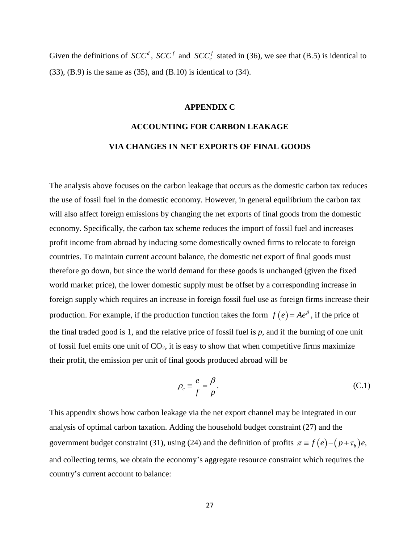Given the definitions of  $SCC^d$ ,  $SCC^f$  and  $SCC^f$  stated in (36), we see that (B.5) is identical to (33), (B.9) is the same as (35), and (B.10) is identical to (34).

#### **APPENDIX C**

# **ACCOUNTING FOR CARBON LEAKAGE VIA CHANGES IN NET EXPORTS OF FINAL GOODS**

The analysis above focuses on the carbon leakage that occurs as the domestic carbon tax reduces the use of fossil fuel in the domestic economy. However, in general equilibrium the carbon tax will also affect foreign emissions by changing the net exports of final goods from the domestic economy. Specifically, the carbon tax scheme reduces the import of fossil fuel and increases profit income from abroad by inducing some domestically owned firms to relocate to foreign countries. To maintain current account balance, the domestic net export of final goods must therefore go down, but since the world demand for these goods is unchanged (given the fixed world market price), the lower domestic supply must be offset by a corresponding increase in foreign supply which requires an increase in foreign fossil fuel use as foreign firms increase their production. For example, if the production function takes the form  $f(e) = Ae^{\beta}$ , if the price of the final traded good is 1, and the relative price of fossil fuel is *p*, and if the burning of one unit of fossil fuel emits one unit of  $CO<sub>2</sub>$ , it is easy to show that when competitive firms maximize their profit, the emission per unit of final goods produced abroad will be

$$
\rho_c \equiv \frac{e}{f} = \frac{\beta}{p}.
$$
\n(C.1)

This appendix shows how carbon leakage via the net export channel may be integrated in our analysis of optimal carbon taxation. Adding the household budget constraint (27) and the government budget constraint (31), using (24) and the definition of profits  $\pi = f(e) - (p + \tau_b)e$ , and collecting terms, we obtain the economy's aggregate resource constraint which requires the country's current account to balance: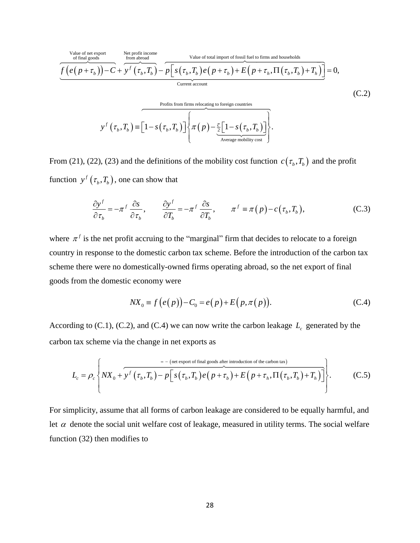

From (21), (22), (23) and the definitions of the mobility cost function  $c(\tau_b, T_b)$  and the profit

function 
$$
y^f(\tau_b, T_b)
$$
, one can show that  
\n
$$
\frac{\partial y^f}{\partial \tau_b} = -\pi^f \frac{\partial s}{\partial \tau_b}, \qquad \frac{\partial y^f}{\partial T_b} = -\pi^f \frac{\partial s}{\partial T_b}, \qquad \pi^f \equiv \pi(p) - c(\tau_b, T_b),
$$
\n(C.3)

where  $\pi^f$  is the net profit accruing to the "marginal" firm that decides to relocate to a foreign country in response to the domestic carbon tax scheme. Before the introduction of the carbon tax scheme there were no domestically-owned firms operating abroad, so the net export of final goods from the domestic economy were

$$
NX_0 \equiv f(e(p)) - C_0 = e(p) + E(p, \pi(p)).
$$
 (C.4)

According to (C.1), (C.2), and (C.4) we can now write the carbon leakage  $L_c$  generated by the carbon tax scheme via the change in net exports as

It is the change in net exports as  
\n
$$
L_c = \rho_c \left\{ N X_0 + \overline{y}^f \left( \tau_b, T_b \right) - p \left[ s \left( \tau_b, T_b \right) e \left( p + \tau_b \right) + E \left( p + \tau_h, \Pi \left( \tau_b, T_b \right) + T_h \right) \right] \right\}.
$$
\n(C.5)

For simplicity, assume that all forms of carbon leakage are considered to be equally harmful, and let  $\alpha$  denote the social unit welfare cost of leakage, measured in utility terms. The social welfare function (32) then modifies to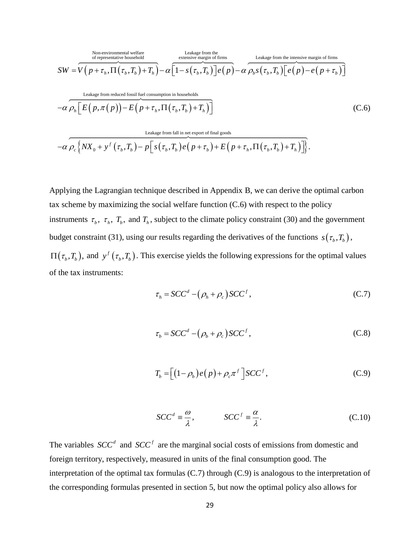Non-environmental welfare of representative household  
\nof representative household  
\nSW = 
$$
\overline{V(p+\tau_h, \Pi(\tau_b, T_b) + T_h)} - \alpha \overline{[1-s(\tau_b, T_b)]}e(p) - \alpha \rho_b s(\tau_b, T_b) \overline{[e(p) - e(p+\tau_b)]}
$$
  
\nLeakage from reduced fossil fuel consumption in households  
\n $-\alpha \rho_h \overline{E(p, \pi(p)) - E(p+\tau_h, \Pi(\tau_b, T_b) + T_h)}$  (C.6)  
\nLeakage from fall in net export of final goods  
\n $-\alpha \rho_c \{NX_0 + y^f(\tau_b, T_b) - p \overline{[s(\tau_b, T_b)e(p+\tau_b) + E(p+\tau_h, \Pi(\tau_b, T_b) + T_h)]}\}$ .

$$
\propto \rho_h \left[ \frac{1}{2} \left( P_{\lambda} \left( P_{\lambda} \right) - 2 \left( P_{\lambda} \left( P_{\lambda} \right) - P_{h} \right) \right] \right]
$$
\n
$$
\text{Leakage from fall in net export of final goods}
$$
\n
$$
- \alpha \rho_c \left\{ N X_0 + y^f \left( \tau_b, T_b \right) - p \left[ s \left( \tau_b, T_b \right) e \left( p + \tau_b \right) + E \left( p + \tau_h, \Pi \left( \tau_b, T_b \right) + T_h \right) \right] \right\}.
$$

 $[p+i_n, \Pi(\tau_n, T_n) + T_n] - \alpha [1 - s(\tau_n, T_n)] e(p) - \alpha \rho_s s(\tau_n, T_n) [e(p) - e(p + \tau_n)]$ <br>
caluar from otheration that be consensus in hourabodidations<br>  $\mathbb{E}[(p, \pi(p)) - E(p + \tau_n, \Pi(\tau_n, T_n) + T_n)]$ <br>
caluar firm into the consensus of the consense of the sec Applying the Lagrangian technique described in Appendix B, we can derive the optimal carbon tax scheme by maximizing the social welfare function (C.6) with respect to the policy instruments  $\tau_b$ ,  $\tau_h$ ,  $T_b$ , and  $T_h$ , subject to the climate policy constraint (30) and the government budget constraint (31), using our results regarding the derivatives of the functions  $s(\tau_b, T_b)$ ,  $\Pi(\tau_b, T_b)$ , and  $y^f(\tau_b, T_b)$ . This exercise yields the following expressions for the optimal values of the tax instruments:

$$
\tau_h = SCC^d - (\rho_h + \rho_c)SCC^f,
$$
\n(C.7)

$$
\tau_b = SCC^d - (\rho_b + \rho_c) SCC^f, \qquad (C.8)
$$

$$
T_b = \left[ \left( 1 - \rho_b \right) e \left( p \right) + \rho_c \pi^f \right] S C C^f, \tag{C.9}
$$

$$
SCC^d \equiv \frac{\omega}{\lambda}, \qquad SCC^f \equiv \frac{\alpha}{\lambda}.
$$
 (C.10)

The variables  $SCC<sup>d</sup>$  and  $SCC<sup>f</sup>$  are the marginal social costs of emissions from domestic and foreign territory, respectively, measured in units of the final consumption good. The interpretation of the optimal tax formulas (C.7) through (C.9) is analogous to the interpretation of the corresponding formulas presented in section 5, but now the optimal policy also allows for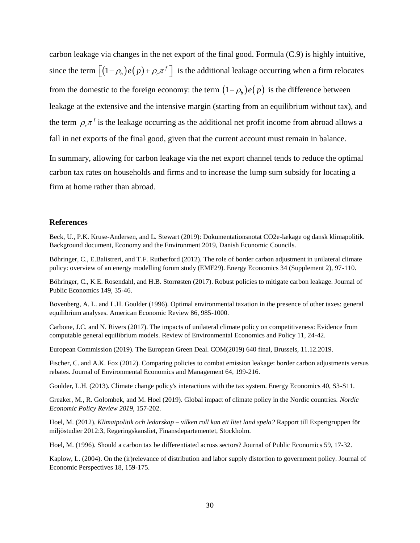carbon leakage via changes in the net export of the final good. Formula (C.9) is highly intuitive, since the term  $[(1-\rho_b)e(p)+\rho_c\pi^f]$  is the additional leakage occurring when a firm relocates from the domestic to the foreign economy: the term  $(1 - \rho_b)e(p)$  is the difference between leakage at the extensive and the intensive margin (starting from an equilibrium without tax), and the term  $\rho_c \pi^f$  is the leakage occurring as the additional net profit income from abroad allows a fall in net exports of the final good, given that the current account must remain in balance.

In summary, allowing for carbon leakage via the net export channel tends to reduce the optimal carbon tax rates on households and firms and to increase the lump sum subsidy for locating a firm at home rather than abroad.

#### **References**

Beck, U., P.K. Kruse-Andersen, and L. Stewart (2019): Dokumentationsnotat CO2e-lækage og dansk klimapolitik. Background document, Economy and the Environment 2019, Danish Economic Councils.

Böhringer, C., E.Balistreri, and T.F. Rutherford (2012). The role of border carbon adjustment in unilateral climate policy: overview of an energy modelling forum study (EMF29). Energy Economics 34 (Supplement 2), 97-110.

Böhringer, C., K.E. Rosendahl, and H.B. Storrøsten (2017). Robust policies to mitigate carbon leakage. Journal of Public Economics 149, 35-46.

Bovenberg, A. L. and L.H. Goulder (1996). Optimal environmental taxation in the presence of other taxes: general equilibrium analyses. American Economic Review 86, 985-1000.

Carbone, J.C. and N. Rivers (2017). The impacts of unilateral climate policy on competitiveness: Evidence from computable general equilibrium models. Review of Environmental Economics and Policy 11, 24-42.

European Commission (2019). The European Green Deal. COM(2019) 640 final, Brussels, 11.12.2019.

Fischer, C. and A.K. Fox (2012). Comparing policies to combat emission leakage: border carbon adjustments versus rebates. Journal of Environmental Economics and Management 64, 199-216.

Goulder, L.H. (2013). Climate change policy's interactions with the tax system. Energy Economics 40, S3-S11.

Greaker, M., R. Golombek, and M. Hoel (2019). Global impact of climate policy in the Nordic countries. *Nordic Economic Policy Review 2019*, 157-202.

Hoel, M. (2012). *Klimatpolitik och ledarskap – vilken roll kan ett litet land spela?* Rapport till Expertgruppen för miljöstudier 2012:3, Regeringskansliet, Finansdepartementet, Stockholm.

Hoel, M. (1996). Should a carbon tax be differentiated across sectors? Journal of Public Economics 59, 17-32.

Kaplow, L. (2004). On the (ir)relevance of distribution and labor supply distortion to government policy. Journal of Economic Perspectives 18, 159-175.